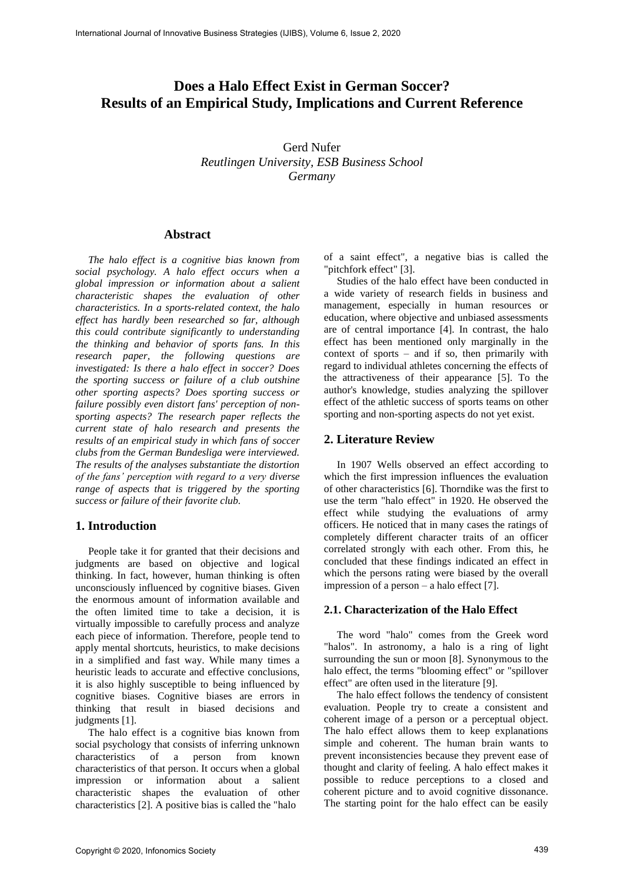# **Does a Halo Effect Exist in German Soccer? Results of an Empirical Study, Implications and Current Reference**

Gerd Nufer *Reutlingen University, ESB Business School Germany*

## **Abstract**

*The halo effect is a cognitive bias known from social psychology. A halo effect occurs when a global impression or information about a salient characteristic shapes the evaluation of other characteristics. In a sports-related context, the halo effect has hardly been researched so far, although this could contribute significantly to understanding the thinking and behavior of sports fans. In this research paper, the following questions are investigated: Is there a halo effect in soccer? Does the sporting success or failure of a club outshine other sporting aspects? Does sporting success or failure possibly even distort fans' perception of nonsporting aspects? The research paper reflects the current state of halo research and presents the results of an empirical study in which fans of soccer clubs from the German Bundesliga were interviewed. The results of the analyses substantiate the distortion of the fans' perception with regard to a very diverse range of aspects that is triggered by the sporting success or failure of their favorite club.*

## **1. Introduction**

People take it for granted that their decisions and judgments are based on objective and logical thinking. In fact, however, human thinking is often unconsciously influenced by cognitive biases. Given the enormous amount of information available and the often limited time to take a decision, it is virtually impossible to carefully process and analyze each piece of information. Therefore, people tend to apply mental shortcuts, heuristics, to make decisions in a simplified and fast way. While many times a heuristic leads to accurate and effective conclusions, it is also highly susceptible to being influenced by cognitive biases. Cognitive biases are errors in thinking that result in biased decisions and judgments [1].

The halo effect is a cognitive bias known from social psychology that consists of inferring unknown characteristics of a person from known characteristics of that person. It occurs when a global impression or information about a salient characteristic shapes the evaluation of other characteristics [2]. A positive bias is called the "halo

of a saint effect", a negative bias is called the "pitchfork effect" [3].

Studies of the halo effect have been conducted in a wide variety of research fields in business and management, especially in human resources or education, where objective and unbiased assessments are of central importance [4]. In contrast, the halo effect has been mentioned only marginally in the context of sports – and if so, then primarily with regard to individual athletes concerning the effects of the attractiveness of their appearance [5]. To the author's knowledge, studies analyzing the spillover effect of the athletic success of sports teams on other sporting and non-sporting aspects do not yet exist.

## **2. Literature Review**

In 1907 Wells observed an effect according to which the first impression influences the evaluation of other characteristics [6]. Thorndike was the first to use the term "halo effect" in 1920. He observed the effect while studying the evaluations of army officers. He noticed that in many cases the ratings of completely different character traits of an officer correlated strongly with each other. From this, he concluded that these findings indicated an effect in which the persons rating were biased by the overall impression of a person – a halo effect [7].

#### **2.1. Characterization of the Halo Effect**

The word "halo" comes from the Greek word "halos". In astronomy, a halo is a ring of light surrounding the sun or moon [8]. Synonymous to the halo effect, the terms "blooming effect" or "spillover effect" are often used in the literature [9].

The halo effect follows the tendency of consistent evaluation. People try to create a consistent and coherent image of a person or a perceptual object. The halo effect allows them to keep explanations simple and coherent. The human brain wants to prevent inconsistencies because they prevent ease of thought and clarity of feeling. A halo effect makes it possible to reduce perceptions to a closed and coherent picture and to avoid cognitive dissonance. The starting point for the halo effect can be easily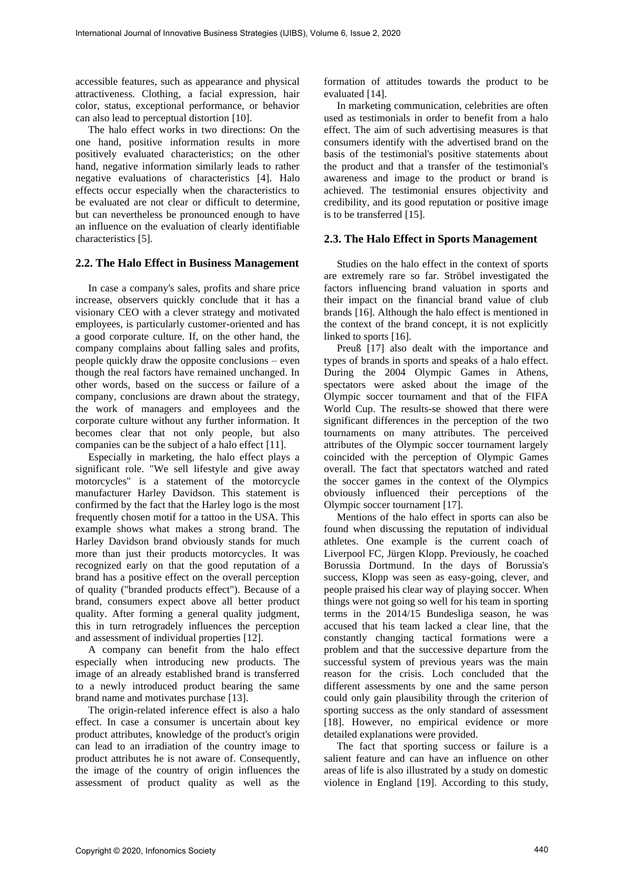accessible features, such as appearance and physical attractiveness. Clothing, a facial expression, hair color, status, exceptional performance, or behavior can also lead to perceptual distortion [10].

The halo effect works in two directions: On the one hand, positive information results in more positively evaluated characteristics; on the other hand, negative information similarly leads to rather negative evaluations of characteristics [4]. Halo effects occur especially when the characteristics to be evaluated are not clear or difficult to determine, but can nevertheless be pronounced enough to have an influence on the evaluation of clearly identifiable characteristics [5].

#### **2.2. The Halo Effect in Business Management**

In case a company's sales, profits and share price increase, observers quickly conclude that it has a visionary CEO with a clever strategy and motivated employees, is particularly customer-oriented and has a good corporate culture. If, on the other hand, the company complains about falling sales and profits, people quickly draw the opposite conclusions – even though the real factors have remained unchanged. In other words, based on the success or failure of a company, conclusions are drawn about the strategy, the work of managers and employees and the corporate culture without any further information. It becomes clear that not only people, but also companies can be the subject of a halo effect [11].

Especially in marketing, the halo effect plays a significant role. "We sell lifestyle and give away motorcycles" is a statement of the motorcycle manufacturer Harley Davidson. This statement is confirmed by the fact that the Harley logo is the most frequently chosen motif for a tattoo in the USA. This example shows what makes a strong brand. The Harley Davidson brand obviously stands for much more than just their products motorcycles. It was recognized early on that the good reputation of a brand has a positive effect on the overall perception of quality ("branded products effect"). Because of a brand, consumers expect above all better product quality. After forming a general quality judgment, this in turn retrogradely influences the perception and assessment of individual properties [12].

A company can benefit from the halo effect especially when introducing new products. The image of an already established brand is transferred to a newly introduced product bearing the same brand name and motivates purchase [13].

The origin-related inference effect is also a halo effect. In case a consumer is uncertain about key product attributes, knowledge of the product's origin can lead to an irradiation of the country image to product attributes he is not aware of. Consequently, the image of the country of origin influences the assessment of product quality as well as the

formation of attitudes towards the product to be evaluated [14].

In marketing communication, celebrities are often used as testimonials in order to benefit from a halo effect. The aim of such advertising measures is that consumers identify with the advertised brand on the basis of the testimonial's positive statements about the product and that a transfer of the testimonial's awareness and image to the product or brand is achieved. The testimonial ensures objectivity and credibility, and its good reputation or positive image is to be transferred [15].

## **2.3. The Halo Effect in Sports Management**

Studies on the halo effect in the context of sports are extremely rare so far. Ströbel investigated the factors influencing brand valuation in sports and their impact on the financial brand value of club brands [16]. Although the halo effect is mentioned in the context of the brand concept, it is not explicitly linked to sports [16].

Preuß [17] also dealt with the importance and types of brands in sports and speaks of a halo effect. During the 2004 Olympic Games in Athens, spectators were asked about the image of the Olympic soccer tournament and that of the FIFA World Cup. The results-se showed that there were significant differences in the perception of the two tournaments on many attributes. The perceived attributes of the Olympic soccer tournament largely coincided with the perception of Olympic Games overall. The fact that spectators watched and rated the soccer games in the context of the Olympics obviously influenced their perceptions of the Olympic soccer tournament [17].

Mentions of the halo effect in sports can also be found when discussing the reputation of individual athletes. One example is the current coach of Liverpool FC, Jürgen Klopp. Previously, he coached Borussia Dortmund. In the days of Borussia's success, Klopp was seen as easy-going, clever, and people praised his clear way of playing soccer. When things were not going so well for his team in sporting terms in the 2014/15 Bundesliga season, he was accused that his team lacked a clear line, that the constantly changing tactical formations were a problem and that the successive departure from the successful system of previous years was the main reason for the crisis. Loch concluded that the different assessments by one and the same person could only gain plausibility through the criterion of sporting success as the only standard of assessment [18]. However, no empirical evidence or more detailed explanations were provided.

The fact that sporting success or failure is a salient feature and can have an influence on other areas of life is also illustrated by a study on domestic violence in England [19]. According to this study,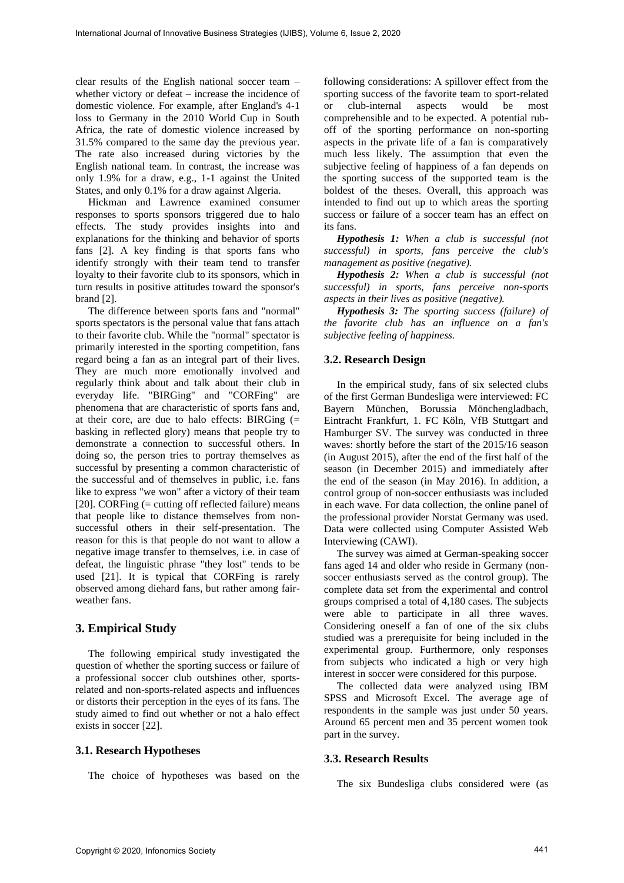clear results of the English national soccer team – whether victory or defeat – increase the incidence of domestic violence. For example, after England's 4-1 loss to Germany in the 2010 World Cup in South Africa, the rate of domestic violence increased by 31.5% compared to the same day the previous year. The rate also increased during victories by the English national team. In contrast, the increase was only 1.9% for a draw, e.g., 1-1 against the United States, and only 0.1% for a draw against Algeria.

Hickman and Lawrence examined consumer responses to sports sponsors triggered due to halo effects. The study provides insights into and explanations for the thinking and behavior of sports fans [2]. A key finding is that sports fans who identify strongly with their team tend to transfer loyalty to their favorite club to its sponsors, which in turn results in positive attitudes toward the sponsor's brand [2].

The difference between sports fans and "normal" sports spectators is the personal value that fans attach to their favorite club. While the "normal" spectator is primarily interested in the sporting competition, fans regard being a fan as an integral part of their lives. They are much more emotionally involved and regularly think about and talk about their club in everyday life. "BIRGing" and "CORFing" are phenomena that are characteristic of sports fans and, at their core, are due to halo effects: BIRGing (= basking in reflected glory) means that people try to demonstrate a connection to successful others. In doing so, the person tries to portray themselves as successful by presenting a common characteristic of the successful and of themselves in public, i.e. fans like to express "we won" after a victory of their team [20]. CORFing (= cutting off reflected failure) means that people like to distance themselves from nonsuccessful others in their self-presentation. The reason for this is that people do not want to allow a negative image transfer to themselves, i.e. in case of defeat, the linguistic phrase "they lost" tends to be used [21]. It is typical that CORFing is rarely observed among diehard fans, but rather among fairweather fans.

## **3. Empirical Study**

The following empirical study investigated the question of whether the sporting success or failure of a professional soccer club outshines other, sportsrelated and non-sports-related aspects and influences or distorts their perception in the eyes of its fans. The study aimed to find out whether or not a halo effect exists in soccer [22].

#### **3.1. Research Hypotheses**

The choice of hypotheses was based on the

following considerations: A spillover effect from the sporting success of the favorite team to sport-related or club-internal aspects would be most comprehensible and to be expected. A potential ruboff of the sporting performance on non-sporting aspects in the private life of a fan is comparatively much less likely. The assumption that even the subjective feeling of happiness of a fan depends on the sporting success of the supported team is the boldest of the theses. Overall, this approach was intended to find out up to which areas the sporting success or failure of a soccer team has an effect on its fans.

*Hypothesis 1: When a club is successful (not successful) in sports, fans perceive the club's management as positive (negative).*

*Hypothesis 2: When a club is successful (not successful) in sports, fans perceive non-sports aspects in their lives as positive (negative).*

*Hypothesis 3: The sporting success (failure) of the favorite club has an influence on a fan's subjective feeling of happiness.*

#### **3.2. Research Design**

In the empirical study, fans of six selected clubs of the first German Bundesliga were interviewed: FC Bayern München, Borussia Mönchengladbach, Eintracht Frankfurt, 1. FC Köln, VfB Stuttgart and Hamburger SV. The survey was conducted in three waves: shortly before the start of the 2015/16 season (in August 2015), after the end of the first half of the season (in December 2015) and immediately after the end of the season (in May 2016). In addition, a control group of non-soccer enthusiasts was included in each wave. For data collection, the online panel of the professional provider Norstat Germany was used. Data were collected using Computer Assisted Web Interviewing (CAWI).

The survey was aimed at German-speaking soccer fans aged 14 and older who reside in Germany (nonsoccer enthusiasts served as the control group). The complete data set from the experimental and control groups comprised a total of 4,180 cases. The subjects were able to participate in all three waves. Considering oneself a fan of one of the six clubs studied was a prerequisite for being included in the experimental group. Furthermore, only responses from subjects who indicated a high or very high interest in soccer were considered for this purpose.

The collected data were analyzed using IBM SPSS and Microsoft Excel. The average age of respondents in the sample was just under 50 years. Around 65 percent men and 35 percent women took part in the survey.

#### **3.3. Research Results**

The six Bundesliga clubs considered were (as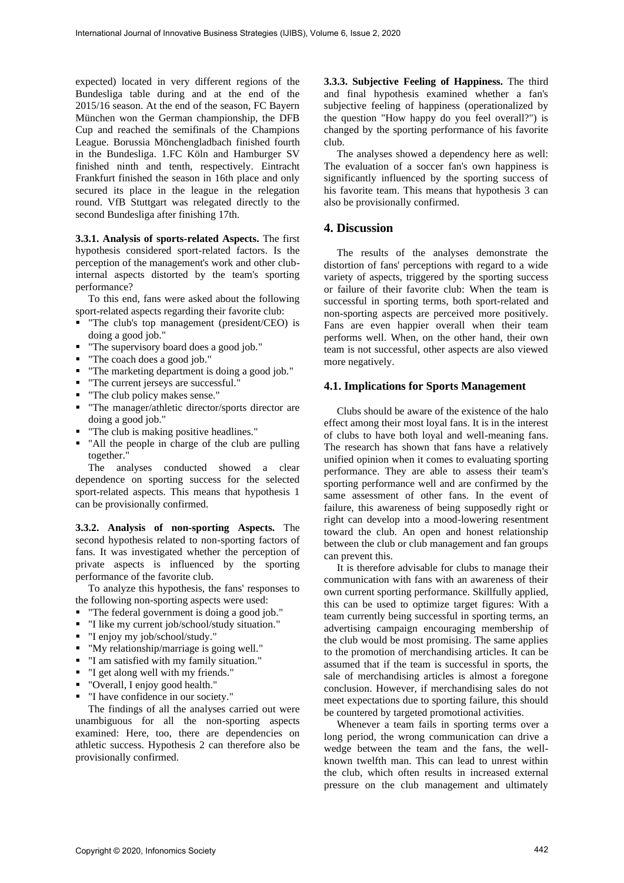expected) located in very different regions of the Bundesliga table during and at the end of the 2015/16 season. At the end of the season, FC Bayern München won the German championship, the DFB Cup and reached the semifinals of the Champions League. Borussia Mönchengladbach finished fourth in the Bundesliga. 1.FC Köln and Hamburger SV finished ninth and tenth, respectively. Eintracht Frankfurt finished the season in 16th place and only secured its place in the league in the relegation round. VfB Stuttgart was relegated directly to the second Bundesliga after finishing 17th.

**3.3.1. Analysis of sports-related Aspects.** The first hypothesis considered sport-related factors. Is the perception of the management's work and other clubinternal aspects distorted by the team's sporting performance?

To this end, fans were asked about the following sport-related aspects regarding their favorite club:

- "The club's top management (president/CEO) is doing a good job."
- "The supervisory board does a good job."
- "The coach does a good job."
- "The marketing department is doing a good job."
- "The current jerseys are successful."
- "The club policy makes sense."
- "The manager/athletic director/sports director are doing a good job."
- "The club is making positive headlines."
- "All the people in charge of the club are pulling together."

The analyses conducted showed a clear dependence on sporting success for the selected sport-related aspects. This means that hypothesis 1 can be provisionally confirmed.

**3.3.2. Analysis of non-sporting Aspects.** The second hypothesis related to non-sporting factors of fans. It was investigated whether the perception of private aspects is influenced by the sporting performance of the favorite club.

To analyze this hypothesis, the fans' responses to the following non-sporting aspects were used:

- "The federal government is doing a good job."
- "I like my current job/school/study situation."
- "I enjoy my job/school/study."
- "My relationship/marriage is going well."
- "I am satisfied with my family situation."
- "I get along well with my friends."
- "Overall, I enjoy good health."
- "I have confidence in our society."

The findings of all the analyses carried out were unambiguous for all the non-sporting aspects examined: Here, too, there are dependencies on athletic success. Hypothesis 2 can therefore also be provisionally confirmed.

**3.3.3. Subjective Feeling of Happiness.** The third and final hypothesis examined whether a fan's subjective feeling of happiness (operationalized by the question "How happy do you feel overall?") is changed by the sporting performance of his favorite club.

The analyses showed a dependency here as well: The evaluation of a soccer fan's own happiness is significantly influenced by the sporting success of his favorite team. This means that hypothesis 3 can also be provisionally confirmed.

# **4. Discussion**

The results of the analyses demonstrate the distortion of fans' perceptions with regard to a wide variety of aspects, triggered by the sporting success or failure of their favorite club: When the team is successful in sporting terms, both sport-related and non-sporting aspects are perceived more positively. Fans are even happier overall when their team performs well. When, on the other hand, their own team is not successful, other aspects are also viewed more negatively.

#### **4.1. Implications for Sports Management**

Clubs should be aware of the existence of the halo effect among their most loyal fans. It is in the interest of clubs to have both loyal and well-meaning fans. The research has shown that fans have a relatively unified opinion when it comes to evaluating sporting performance. They are able to assess their team's sporting performance well and are confirmed by the same assessment of other fans. In the event of failure, this awareness of being supposedly right or right can develop into a mood-lowering resentment toward the club. An open and honest relationship between the club or club management and fan groups can prevent this.

It is therefore advisable for clubs to manage their communication with fans with an awareness of their own current sporting performance. Skillfully applied, this can be used to optimize target figures: With a team currently being successful in sporting terms, an advertising campaign encouraging membership of the club would be most promising. The same applies to the promotion of merchandising articles. It can be assumed that if the team is successful in sports, the sale of merchandising articles is almost a foregone conclusion. However, if merchandising sales do not meet expectations due to sporting failure, this should be countered by targeted promotional activities.

Whenever a team fails in sporting terms over a long period, the wrong communication can drive a wedge between the team and the fans, the wellknown twelfth man. This can lead to unrest within the club, which often results in increased external pressure on the club management and ultimately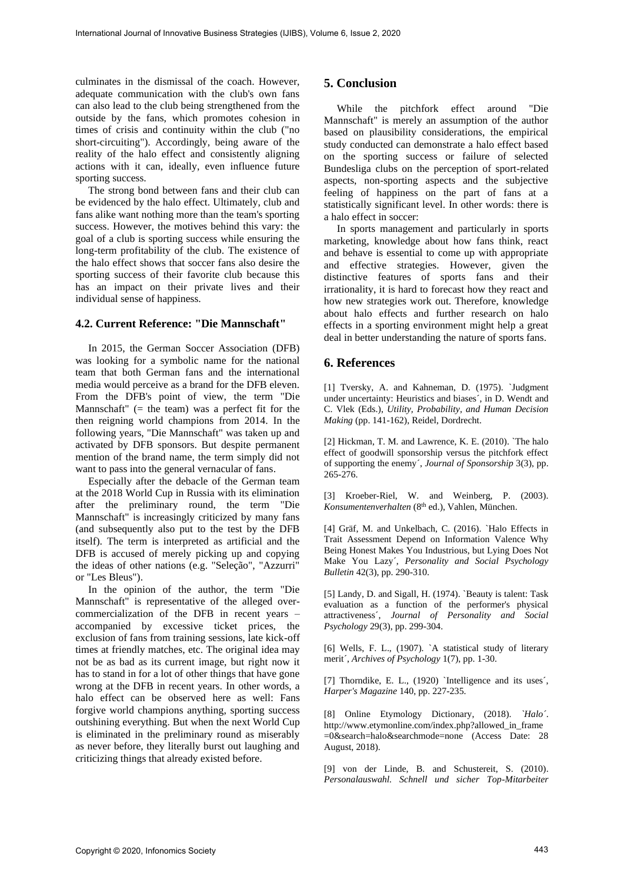culminates in the dismissal of the coach. However, adequate communication with the club's own fans can also lead to the club being strengthened from the outside by the fans, which promotes cohesion in times of crisis and continuity within the club ("no short-circuiting"). Accordingly, being aware of the reality of the halo effect and consistently aligning actions with it can, ideally, even influence future sporting success.

The strong bond between fans and their club can be evidenced by the halo effect. Ultimately, club and fans alike want nothing more than the team's sporting success. However, the motives behind this vary: the goal of a club is sporting success while ensuring the long-term profitability of the club. The existence of the halo effect shows that soccer fans also desire the sporting success of their favorite club because this has an impact on their private lives and their individual sense of happiness.

# **4.2. Current Reference: "Die Mannschaft"**

In 2015, the German Soccer Association (DFB) was looking for a symbolic name for the national team that both German fans and the international media would perceive as a brand for the DFB eleven. From the DFB's point of view, the term "Die Mannschaft"  $(=$  the team) was a perfect fit for the then reigning world champions from 2014. In the following years, "Die Mannschaft" was taken up and activated by DFB sponsors. But despite permanent mention of the brand name, the term simply did not want to pass into the general vernacular of fans.

Especially after the debacle of the German team at the 2018 World Cup in Russia with its elimination after the preliminary round, the term "Die Mannschaft" is increasingly criticized by many fans (and subsequently also put to the test by the DFB itself). The term is interpreted as artificial and the DFB is accused of merely picking up and copying the ideas of other nations (e.g. "Seleção", "Azzurri" or "Les Bleus").

In the opinion of the author, the term "Die Mannschaft" is representative of the alleged overcommercialization of the DFB in recent years – accompanied by excessive ticket prices, the exclusion of fans from training sessions, late kick-off times at friendly matches, etc. The original idea may not be as bad as its current image, but right now it has to stand in for a lot of other things that have gone wrong at the DFB in recent years. In other words, a halo effect can be observed here as well: Fans forgive world champions anything, sporting success outshining everything. But when the next World Cup is eliminated in the preliminary round as miserably as never before, they literally burst out laughing and criticizing things that already existed before.

## **5. Conclusion**

While the pitchfork effect around "Die Mannschaft" is merely an assumption of the author based on plausibility considerations, the empirical study conducted can demonstrate a halo effect based on the sporting success or failure of selected Bundesliga clubs on the perception of sport-related aspects, non-sporting aspects and the subjective feeling of happiness on the part of fans at a statistically significant level. In other words: there is a halo effect in soccer:

In sports management and particularly in sports marketing, knowledge about how fans think, react and behave is essential to come up with appropriate and effective strategies. However, given the distinctive features of sports fans and their irrationality, it is hard to forecast how they react and how new strategies work out. Therefore, knowledge about halo effects and further research on halo effects in a sporting environment might help a great deal in better understanding the nature of sports fans.

# **6. References**

[1] Tversky, A. and Kahneman, D. (1975). `Judgment under uncertainty: Heuristics and biases´, in D. Wendt and C. Vlek (Eds.), *Utility, Probability, and Human Decision Making* (pp. 141-162), Reidel, Dordrecht.

[2] Hickman, T. M. and Lawrence, K. E. (2010). `The halo effect of goodwill sponsorship versus the pitchfork effect of supporting the enemy´, *Journal of Sponsorship* 3(3), pp. 265-276.

[3] [Kroeber-Riel,](https://de.wikipedia.org/wiki/Werner_Kroeber-Riel) W. and Weinberg, P. (2003). *Konsumentenverhalten* (8th ed.), Vahlen, München.

[4] Gräf, M. and Unkelbach, C. (2016). `Halo Effects in Trait Assessment Depend on Information Valence Why Being Honest Makes You Industrious, but Lying Does Not Make You Lazy´, *Personality and Social Psychology Bulletin* 42(3), pp. 290-310.

[5] Landy, D. and Sigall, H. (1974). `Beauty is talent: Task evaluation as a function of the performer's physical attractiveness´, *Journal of Personality and Social Psychology* 29(3), pp. 299-304.

[6] Wells, F. L., (1907). `A statistical study of literary merit´, *Archives of Psychology* 1(7), pp. 1-30.

[7] Thorndike, E. L., (1920) `Intelligence and its uses', *Harper's Magazine* 140, pp. 227-235.

[8] Online Etymology Dictionary, (2018). *`Halo´*. [http://www.etymonline.com/index.php?allowed\\_in\\_frame](http://www.etymonline.com/index.php?allowed_in_frame=0&search=halo&searchmode=none) [=0&search=halo&searchmode=none](http://www.etymonline.com/index.php?allowed_in_frame=0&search=halo&searchmode=none) (Access Date: 28 August, 2018).

[9] von der Linde, B. and Schustereit, S. (2010). *Personalauswahl. Schnell und sicher Top-Mitarbeiter*